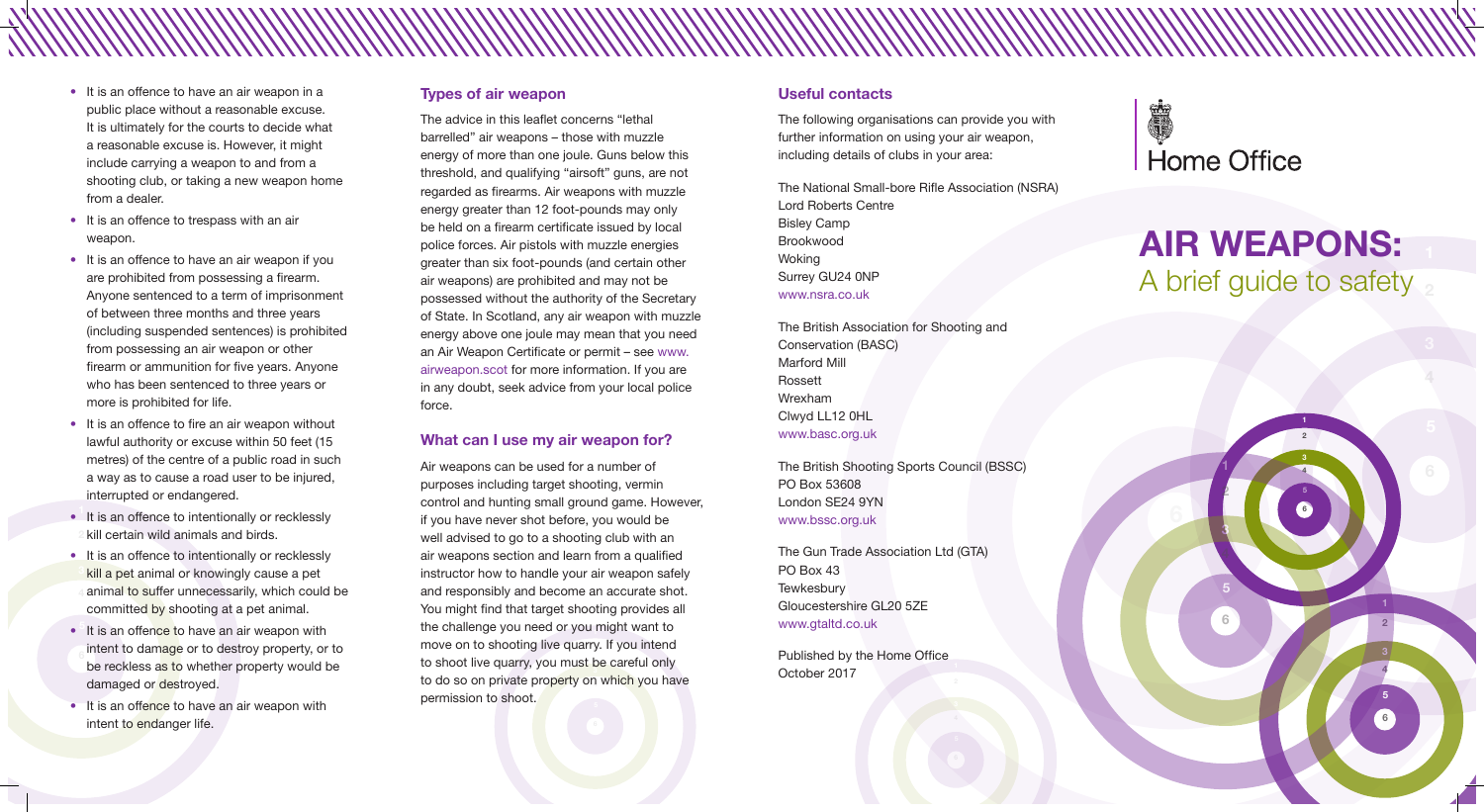

# **AIR WEAPONS:** A brief guide to safety

- It is an offence to have an air weapon in a public place without a reasonable excuse. It is ultimately for the courts to decide what a reasonable excuse is. However, it might include carrying a weapon to and from a shooting club, or taking a new weapon home from a dealer.
- It is an offence to trespass with an air weapon.
- It is an offence to have an air weapon if you are prohibited from possessing a firearm. Anyone sentenced to a term of imprisonment of between three months and three years (including suspended sentences) is prohibited from possessing an air weapon or other firearm or ammunition for five years. Anyone who has been sentenced to three years or more is prohibited for life.
- It is an offence to fire an air weapon without lawful authority or excuse within 50 feet (15 metres) of the centre of a public road in such a way as to cause a road user to be injured, interrupted or endangered.
- It is an offence to intentionally or recklessly kill certain wild animals and birds.
- It is an offence to intentionally or recklessly kill a pet animal or knowingly cause a pet animal to suffer unnecessarily, which could be committed by shooting at a pet animal.
- It is an offence to have an air weapon with intent to damage or to destroy property, or to be reckless as to whether property would be damaged or destroyed.
- It is an offence to have an air weapon with intent to endanger life.

**1** the challenge you need or you might want to **4** to do so on private property on which you have **2** move on to shooting live quarry. If you intend Air weapons can be used for a number of purposes including target shooting, vermin control and hunting small ground game. However, if you have never shot before, you would be well advised to go to a shooting club with an air weapons section and learn from a qualified instructor how to handle your air weapon safely and responsibly and become an accurate shot. You might find that target shooting provides all to shoot live quarry, you must be careful only permission to shoot.

### **Types of air weapon**

The advice in this leaflet concerns "lethal barrelled" air weapons – those with muzzle energy of more than one joule. Guns below this threshold, and qualifying "airsoft" guns, are not regarded as firearms. Air weapons with muzzle energy greater than 12 foot-pounds may only be held on a firearm certificate issued by local police forces. Air pistols with muzzle energies greater than six foot-pounds (and certain other air weapons) are prohibited and may not be possessed without the authority of the Secretary of State. In Scotland, any air weapon with muzzle energy above one joule may mean that you need an Air Weapon Certificate or permit – see www. airweapon.scot for more information. If you are in any doubt, seek advice from your local police force.

### **What can I use my air weapon for?**

### **Useful contacts**

The following organisations can provide you with further information on using your air weapon, including details of clubs in your area:

The National Small-bore Rifle Association (NSRA) Lord Roberts Centre Bisley Camp Brookwood **Woking** Surrey GU24 0NP www.nsra.co.uk

The British Association for Shooting and Conservation (BASC) Marford Mill Rossett Wrexham Clwyd LL12 0HL www.basc.org.uk

The British Shooting Sports Council (BSSC) PO Box 53608 London SE24 9YN www.bssc.org.uk

The Gun Trade Association Ltd (GTA) PO Box 43 **Tewkesbury** Gloucestershire GL20 5ZE www.gtaltd.co.uk

Published by the Home Office October 2017